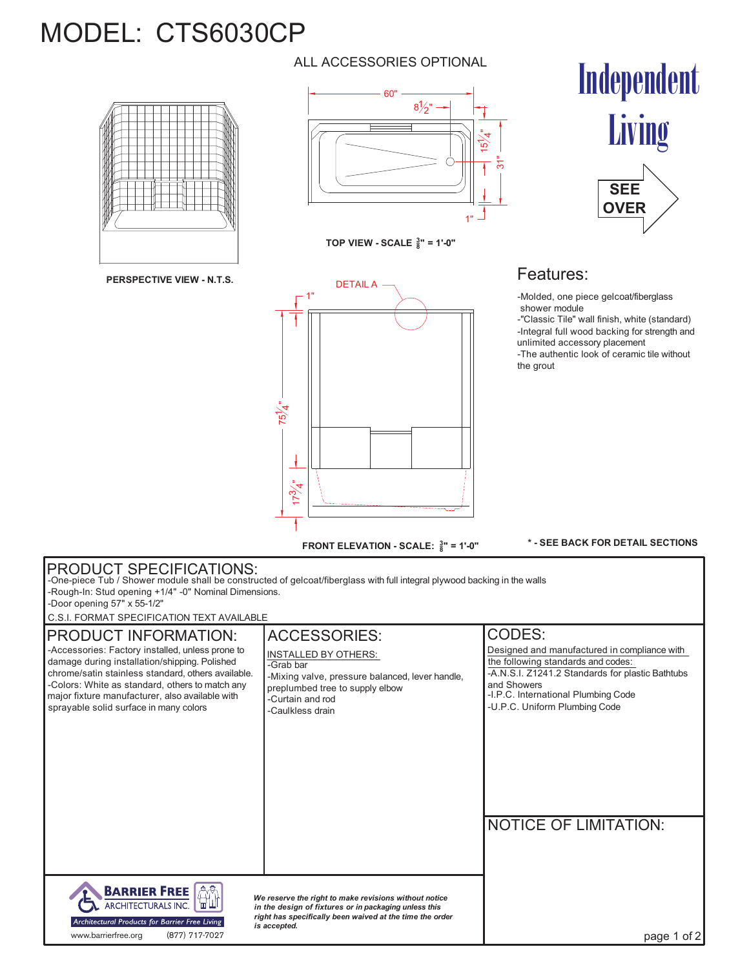## MODEL: CTS6030CP



**PERSPECTIVE VIEW - N.T.S.**

#### ALL ACCESSORIES OPTIONAL



**TOP VIEW - SCALE <sup>3</sup> 8" = 1'-0"**



Independent Living



### Features:

-Molded, one piece gelcoat/fiberglass shower module

-"Classic Tile" wall finish, white (standard) -Integral full wood backing for strength and unlimited accessory placement -The authentic look of ceramic tile without the grout

**\* - SEE BACK FOR DETAIL SECTIONS**

#### PRODUCT SPECIFICATIONS: -One-piece Tub / Shower module shall be constructed of gelcoat/fiberglass with full integral plywood backing in the walls -Rough-In: Stud opening +1/4" -0" Nominal Dimensions. -Door opening 57" x 55-1/2" C.S.I. FORMAT SPECIFICATION TEXT AVAILABLE ACCESSORIES: CODES: PRODUCT INFORMATION: -Accessories: Factory installed, unless prone to Designed and manufactured in compliance with INSTALLED BY OTHERS: damage during installation/shipping. Polished the following standards and codes:<br>-A.N.S.I. Z1241.2 Standards for plastic Bathtubs -Grab bar chrome/satin stainless standard, others available. -Mixing valve, pressure balanced, lever handle, -Colors: White as standard, others to match any and Showers preplumbed tree to supply elbow -I.P.C. International Plumbing Code major fixture manufacturer, also available with -Curtain and rod sprayable solid surface in many colors -U.P.C. Uniform Plumbing Code -Caulkless drain NOTICE OF LIMITATION: **AN BARRIER FREE** *We reserve the right to make revisions without notice* ARCHITECTURALS INC. *in the design of fixtures or in packaging unless this*

*right has specifically been waived at the time the order*

*is accepted.*

www.barrierfree.org (877) 717-7027

Architectural Products for Barrier Free Living